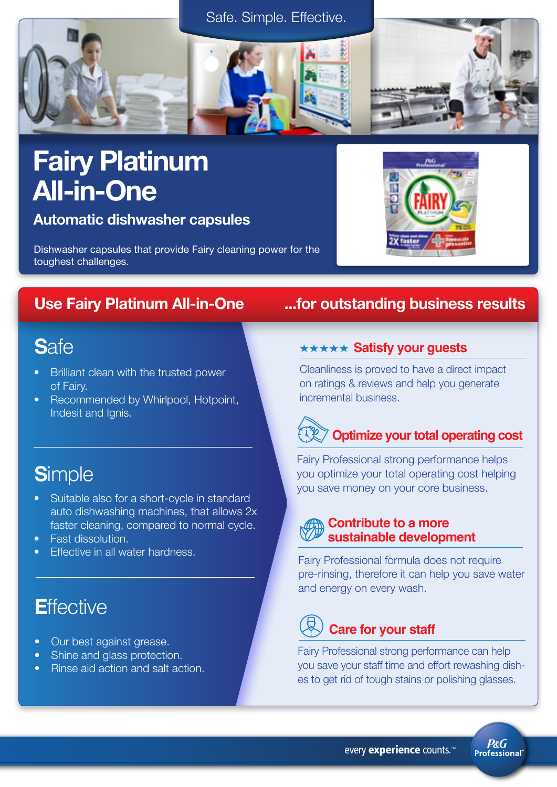



## Fairy Platinum All-in-One

Automatic dishwasher capsules

Dishwasher capsules that provide Fairy cleaning power for the toughest challenges.

### **S**afe

- Brilliant clean with the trusted power of Fairy.
- Recommended by Whirlpool, Hotpoint, Indesit and Ignis.

### **S**imple

- Suitable also for a short-cycle in standard auto dishwashing machines, that allows 2x faster cleaning, compared to normal cycle.
- Fast dissolution.
- Effective in all water hardness.

### **E**ffective

- Our best against grease.
- Shine and glass protection.
- Rinse aid action and salt action.

### Use Fairy Platinum All-in-One ...for outstanding business results

### **\*\*\*\*\* Satisfy your guests**

Cleanliness is proved to have a direct impact on ratings & reviews and help you generate incremental business.

## **Optimize your total operating cost**

Fairy Professional strong performance helps you optimize your total operating cost helping you save money on your core business.

### **Contribute to a more sustainable development**

Fairy Professional formula does not require pre-rinsing, therefore it can help you save water and energy on every wash.

### **Care for your staff**

Fairy Professional strong performance can help you save your staff time and effort rewashing dishes to get rid of tough stains or polishing glasses.

every experience counts.<sup>™</sup>

**P&G** Professional